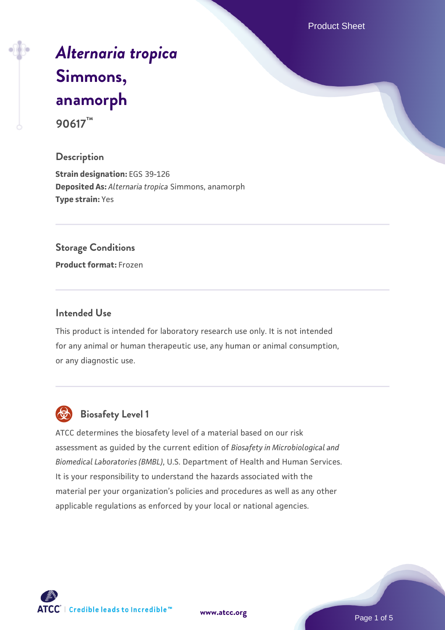Product Sheet

# *[Alternaria tropica](https://www.atcc.org/products/90617)* **[Simmons,](https://www.atcc.org/products/90617) [anamorph](https://www.atcc.org/products/90617) 90617™**

#### **Description**

**Strain designation:** EGS 39-126 **Deposited As:** *Alternaria tropica* Simmons, anamorph **Type strain:** Yes

#### **Storage Conditions**

**Product format:** Frozen

#### **Intended Use**

This product is intended for laboratory research use only. It is not intended for any animal or human therapeutic use, any human or animal consumption, or any diagnostic use.



#### **Biosafety Level 1**

ATCC determines the biosafety level of a material based on our risk assessment as guided by the current edition of *Biosafety in Microbiological and Biomedical Laboratories (BMBL)*, U.S. Department of Health and Human Services. It is your responsibility to understand the hazards associated with the material per your organization's policies and procedures as well as any other applicable regulations as enforced by your local or national agencies.

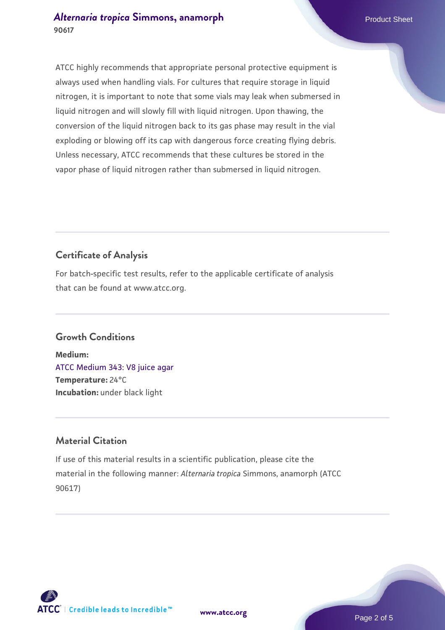#### *[Alternaria tropica](https://www.atcc.org/products/90617)* **[Simmons, anamorph](https://www.atcc.org/products/90617)** Product Sheet **90617**

ATCC highly recommends that appropriate personal protective equipment is always used when handling vials. For cultures that require storage in liquid nitrogen, it is important to note that some vials may leak when submersed in liquid nitrogen and will slowly fill with liquid nitrogen. Upon thawing, the conversion of the liquid nitrogen back to its gas phase may result in the vial exploding or blowing off its cap with dangerous force creating flying debris. Unless necessary, ATCC recommends that these cultures be stored in the vapor phase of liquid nitrogen rather than submersed in liquid nitrogen.

### **Certificate of Analysis**

For batch-specific test results, refer to the applicable certificate of analysis that can be found at www.atcc.org.

#### **Growth Conditions**

**Medium:**  [ATCC Medium 343: V8 juice agar](https://www.atcc.org/-/media/product-assets/documents/microbial-media-formulations/3/4/3/atcc-medium-0343.pdf?rev=fbf48fa24e664932828269db1822ab12) **Temperature:** 24°C **Incubation:** under black light

#### **Material Citation**

If use of this material results in a scientific publication, please cite the material in the following manner: *Alternaria tropica* Simmons, anamorph (ATCC 90617)

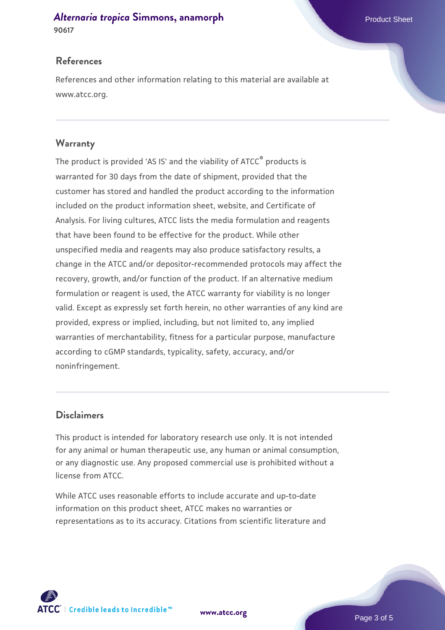#### *[Alternaria tropica](https://www.atcc.org/products/90617)* **[Simmons, anamorph](https://www.atcc.org/products/90617)** Product Sheet **90617**

#### **References**

References and other information relating to this material are available at www.atcc.org.

#### **Warranty**

The product is provided 'AS IS' and the viability of ATCC® products is warranted for 30 days from the date of shipment, provided that the customer has stored and handled the product according to the information included on the product information sheet, website, and Certificate of Analysis. For living cultures, ATCC lists the media formulation and reagents that have been found to be effective for the product. While other unspecified media and reagents may also produce satisfactory results, a change in the ATCC and/or depositor-recommended protocols may affect the recovery, growth, and/or function of the product. If an alternative medium formulation or reagent is used, the ATCC warranty for viability is no longer valid. Except as expressly set forth herein, no other warranties of any kind are provided, express or implied, including, but not limited to, any implied warranties of merchantability, fitness for a particular purpose, manufacture according to cGMP standards, typicality, safety, accuracy, and/or noninfringement.

#### **Disclaimers**

This product is intended for laboratory research use only. It is not intended for any animal or human therapeutic use, any human or animal consumption, or any diagnostic use. Any proposed commercial use is prohibited without a license from ATCC.

While ATCC uses reasonable efforts to include accurate and up-to-date information on this product sheet, ATCC makes no warranties or representations as to its accuracy. Citations from scientific literature and

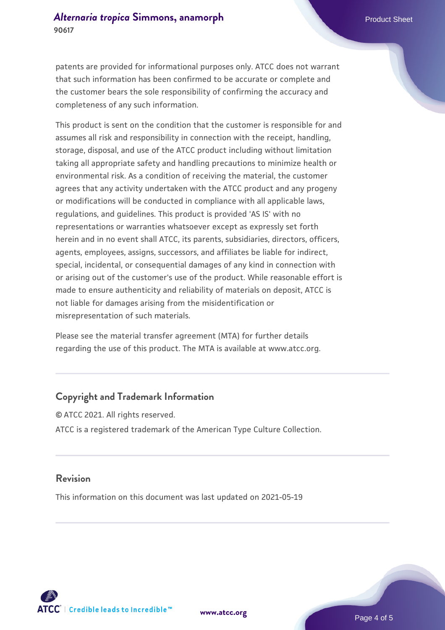patents are provided for informational purposes only. ATCC does not warrant that such information has been confirmed to be accurate or complete and the customer bears the sole responsibility of confirming the accuracy and completeness of any such information.

This product is sent on the condition that the customer is responsible for and assumes all risk and responsibility in connection with the receipt, handling, storage, disposal, and use of the ATCC product including without limitation taking all appropriate safety and handling precautions to minimize health or environmental risk. As a condition of receiving the material, the customer agrees that any activity undertaken with the ATCC product and any progeny or modifications will be conducted in compliance with all applicable laws, regulations, and guidelines. This product is provided 'AS IS' with no representations or warranties whatsoever except as expressly set forth herein and in no event shall ATCC, its parents, subsidiaries, directors, officers, agents, employees, assigns, successors, and affiliates be liable for indirect, special, incidental, or consequential damages of any kind in connection with or arising out of the customer's use of the product. While reasonable effort is made to ensure authenticity and reliability of materials on deposit, ATCC is not liable for damages arising from the misidentification or misrepresentation of such materials.

Please see the material transfer agreement (MTA) for further details regarding the use of this product. The MTA is available at www.atcc.org.

#### **Copyright and Trademark Information**

© ATCC 2021. All rights reserved. ATCC is a registered trademark of the American Type Culture Collection.

#### **Revision**

This information on this document was last updated on 2021-05-19